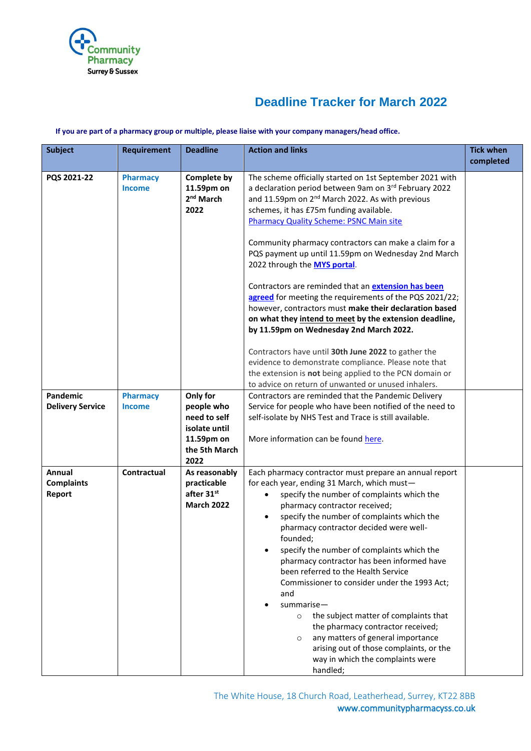

# **Deadline Tracker for March 2022**

#### **If you are part of a pharmacy group or multiple, please liaise with your company managers/head office.**

| <b>Subject</b>                        | <b>Requirement</b>               | <b>Deadline</b>                                                                                | <b>Action and links</b>                                                                                                                                                                                                                                                                                                                                                                                                                                                                                                                                                                                                                                                                                                                                        | <b>Tick when</b><br>completed |
|---------------------------------------|----------------------------------|------------------------------------------------------------------------------------------------|----------------------------------------------------------------------------------------------------------------------------------------------------------------------------------------------------------------------------------------------------------------------------------------------------------------------------------------------------------------------------------------------------------------------------------------------------------------------------------------------------------------------------------------------------------------------------------------------------------------------------------------------------------------------------------------------------------------------------------------------------------------|-------------------------------|
| PQS 2021-22                           | <b>Pharmacy</b><br><b>Income</b> | <b>Complete by</b><br>11.59pm on<br>2 <sup>nd</sup> March<br>2022                              | The scheme officially started on 1st September 2021 with<br>a declaration period between 9am on 3rd February 2022<br>and 11.59pm on 2 <sup>nd</sup> March 2022. As with previous<br>schemes, it has £75m funding available.<br><b>Pharmacy Quality Scheme: PSNC Main site</b><br>Community pharmacy contractors can make a claim for a<br>PQS payment up until 11.59pm on Wednesday 2nd March<br>2022 through the MYS portal.<br>Contractors are reminded that an <b>extension has been</b><br>agreed for meeting the requirements of the PQS 2021/22;<br>however, contractors must make their declaration based<br>on what they intend to meet by the extension deadline,<br>by 11.59pm on Wednesday 2nd March 2022.                                          |                               |
|                                       |                                  |                                                                                                | Contractors have until 30th June 2022 to gather the<br>evidence to demonstrate compliance. Please note that<br>the extension is not being applied to the PCN domain or<br>to advice on return of unwanted or unused inhalers.                                                                                                                                                                                                                                                                                                                                                                                                                                                                                                                                  |                               |
| Pandemic<br><b>Delivery Service</b>   | <b>Pharmacy</b><br><b>Income</b> | Only for<br>people who<br>need to self<br>isolate until<br>11.59pm on<br>the 5th March<br>2022 | Contractors are reminded that the Pandemic Delivery<br>Service for people who have been notified of the need to<br>self-isolate by NHS Test and Trace is still available.<br>More information can be found here.                                                                                                                                                                                                                                                                                                                                                                                                                                                                                                                                               |                               |
| Annual<br><b>Complaints</b><br>Report | <b>Contractual</b>               | As reasonably<br>practicable<br>after 31st<br><b>March 2022</b>                                | Each pharmacy contractor must prepare an annual report<br>for each year, ending 31 March, which must-<br>specify the number of complaints which the<br>$\bullet$<br>pharmacy contractor received;<br>specify the number of complaints which the<br>$\bullet$<br>pharmacy contractor decided were well-<br>founded;<br>specify the number of complaints which the<br>pharmacy contractor has been informed have<br>been referred to the Health Service<br>Commissioner to consider under the 1993 Act;<br>and<br>summarise-<br>the subject matter of complaints that<br>$\circ$<br>the pharmacy contractor received;<br>any matters of general importance<br>$\circ$<br>arising out of those complaints, or the<br>way in which the complaints were<br>handled; |                               |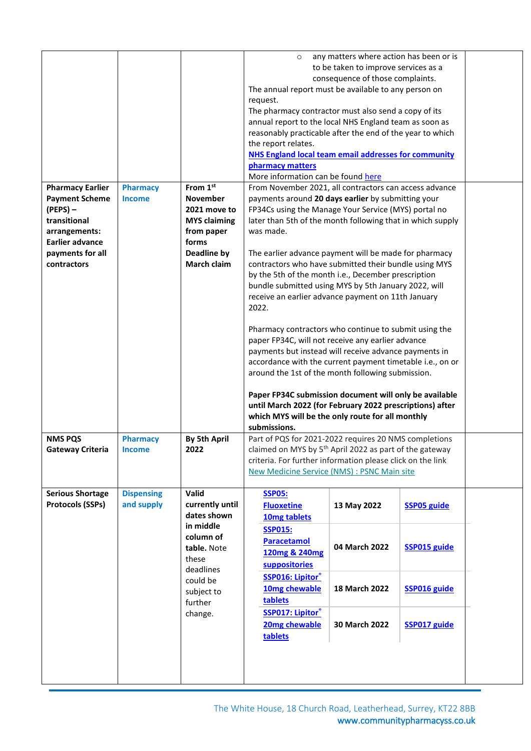| <b>Pharmacy Earlier</b><br><b>Payment Scheme</b>                                                         | <b>Pharmacy</b><br><b>Income</b> | From 1st<br><b>November</b>                                                                                                                            | $\circ$<br>The annual report must be available to any person on<br>request.<br>The pharmacy contractor must also send a copy of its<br>annual report to the local NHS England team as soon as<br>reasonably practicable after the end of the year to which<br>the report relates.<br><b>NHS England local team email addresses for community</b><br>pharmacy matters<br>More information can be found here<br>From November 2021, all contractors can access advance<br>payments around 20 days earlier by submitting your                                                                                                                                                                                                                                                                                                                                                                                         | any matters where action has been or is<br>to be taken to improve services as a<br>consequence of those complaints. |                                                                                  |  |
|----------------------------------------------------------------------------------------------------------|----------------------------------|--------------------------------------------------------------------------------------------------------------------------------------------------------|--------------------------------------------------------------------------------------------------------------------------------------------------------------------------------------------------------------------------------------------------------------------------------------------------------------------------------------------------------------------------------------------------------------------------------------------------------------------------------------------------------------------------------------------------------------------------------------------------------------------------------------------------------------------------------------------------------------------------------------------------------------------------------------------------------------------------------------------------------------------------------------------------------------------|---------------------------------------------------------------------------------------------------------------------|----------------------------------------------------------------------------------|--|
| $(PEPS)$ –<br>transitional<br>arrangements:<br><b>Earlier advance</b><br>payments for all<br>contractors |                                  | 2021 move to<br><b>MYS claiming</b><br>from paper<br>forms<br>Deadline by<br><b>March claim</b>                                                        | FP34Cs using the Manage Your Service (MYS) portal no<br>later than 5th of the month following that in which supply<br>was made.<br>The earlier advance payment will be made for pharmacy<br>contractors who have submitted their bundle using MYS<br>by the 5th of the month i.e., December prescription<br>bundle submitted using MYS by 5th January 2022, will<br>receive an earlier advance payment on 11th January<br>2022.<br>Pharmacy contractors who continue to submit using the<br>paper FP34C, will not receive any earlier advance<br>payments but instead will receive advance payments in<br>accordance with the current payment timetable i.e., on or<br>around the 1st of the month following submission.<br>Paper FP34C submission document will only be available<br>until March 2022 (for February 2022 prescriptions) after<br>which MYS will be the only route for all monthly<br>submissions. |                                                                                                                     |                                                                                  |  |
| <b>NMS PQS</b><br>Gateway Criteria                                                                       | <b>Pharmacy</b><br><b>Income</b> | <b>By 5th April</b><br>2022                                                                                                                            | Part of PQS for 2021-2022 requires 20 NMS completions<br>claimed on MYS by 5 <sup>th</sup> April 2022 as part of the gateway<br>criteria. For further information please click on the link<br>New Medicine Service (NMS) : PSNC Main site                                                                                                                                                                                                                                                                                                                                                                                                                                                                                                                                                                                                                                                                          |                                                                                                                     |                                                                                  |  |
| <b>Serious Shortage</b><br><b>Protocols (SSPs)</b>                                                       | <b>Dispensing</b><br>and supply  | Valid<br>currently until<br>dates shown<br>in middle<br>column of<br>table. Note<br>these<br>deadlines<br>could be<br>subject to<br>further<br>change. | <b>SSP05:</b><br><b>Fluoxetine</b><br>10mg tablets<br><b>SSP015:</b><br><b>Paracetamol</b><br>120mg & 240mg<br><b>suppositories</b><br><b>SSP016: Lipitor®</b><br>10mg chewable<br>tablets<br><b>SSP017: Lipitor</b> <sup>®</sup><br>20mg chewable<br>tablets                                                                                                                                                                                                                                                                                                                                                                                                                                                                                                                                                                                                                                                      | 13 May 2022<br>04 March 2022<br>18 March 2022<br>30 March 2022                                                      | <b>SSP05 guide</b><br><b>SSP015 guide</b><br>SSP016 guide<br><b>SSP017 guide</b> |  |